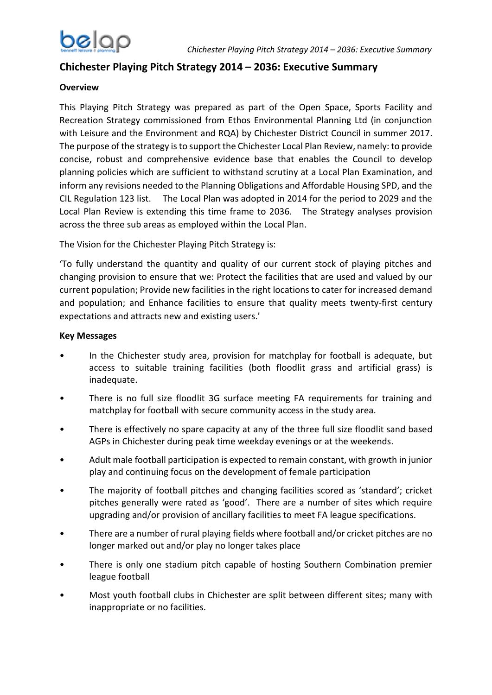

# **Chichester Playing Pitch Strategy 2014 – 2036: Executive Summary**

### **Overview**

This Playing Pitch Strategy was prepared as part of the Open Space, Sports Facility and Recreation Strategy commissioned from Ethos Environmental Planning Ltd (in conjunction with Leisure and the Environment and RQA) by Chichester District Council in summer 2017. The purpose of the strategy is to support the Chichester Local Plan Review, namely: to provide concise, robust and comprehensive evidence base that enables the Council to develop planning policies which are sufficient to withstand scrutiny at a Local Plan Examination, and inform any revisions needed to the Planning Obligations and Affordable Housing SPD, and the CIL Regulation 123 list. The Local Plan was adopted in 2014 for the period to 2029 and the Local Plan Review is extending this time frame to 2036. The Strategy analyses provision across the three sub areas as employed within the Local Plan.

The Vision for the Chichester Playing Pitch Strategy is:

'To fully understand the quantity and quality of our current stock of playing pitches and changing provision to ensure that we: Protect the facilities that are used and valued by our current population; Provide new facilities in the right locations to cater for increased demand and population; and Enhance facilities to ensure that quality meets twenty-first century expectations and attracts new and existing users.'

#### **Key Messages**

- In the Chichester study area, provision for matchplay for football is adequate, but access to suitable training facilities (both floodlit grass and artificial grass) is inadequate.
- There is no full size floodlit 3G surface meeting FA requirements for training and matchplay for football with secure community access in the study area.
- There is effectively no spare capacity at any of the three full size floodlit sand based AGPs in Chichester during peak time weekday evenings or at the weekends.
- Adult male football participation is expected to remain constant, with growth in junior play and continuing focus on the development of female participation
- The majority of football pitches and changing facilities scored as 'standard'; cricket pitches generally were rated as 'good'. There are a number of sites which require upgrading and/or provision of ancillary facilities to meet FA league specifications.
- There are a number of rural playing fields where football and/or cricket pitches are no longer marked out and/or play no longer takes place
- There is only one stadium pitch capable of hosting Southern Combination premier league football
- Most youth football clubs in Chichester are split between different sites; many with inappropriate or no facilities.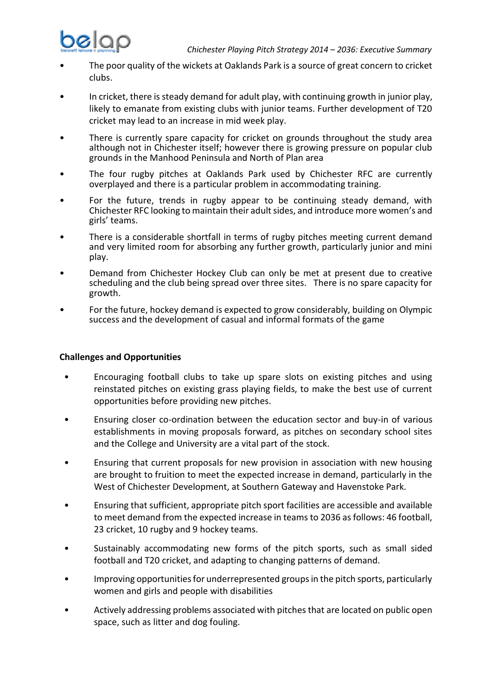

- The poor quality of the wickets at Oaklands Park is a source of great concern to cricket clubs.
- In cricket, there is steady demand for adult play, with continuing growth in junior play, likely to emanate from existing clubs with junior teams. Further development of T20 cricket may lead to an increase in mid week play.
- There is currently spare capacity for cricket on grounds throughout the study area although not in Chichester itself; however there is growing pressure on popular club grounds in the Manhood Peninsula and North of Plan area
- The four rugby pitches at Oaklands Park used by Chichester RFC are currently overplayed and there is a particular problem in accommodating training.
- For the future, trends in rugby appear to be continuing steady demand, with Chichester RFC looking to maintain their adult sides, and introduce more women's and girls' teams.
- There is a considerable shortfall in terms of rugby pitches meeting current demand and very limited room for absorbing any further growth, particularly junior and mini play.
- Demand from Chichester Hockey Club can only be met at present due to creative scheduling and the club being spread over three sites. There is no spare capacity for growth.
- For the future, hockey demand is expected to grow considerably, building on Olympic success and the development of casual and informal formats of the game

#### **Challenges and Opportunities**

- Encouraging football clubs to take up spare slots on existing pitches and using reinstated pitches on existing grass playing fields, to make the best use of current opportunities before providing new pitches.
- Ensuring closer co-ordination between the education sector and buy-in of various establishments in moving proposals forward, as pitches on secondary school sites and the College and University are a vital part of the stock.
- Ensuring that current proposals for new provision in association with new housing are brought to fruition to meet the expected increase in demand, particularly in the West of Chichester Development, at Southern Gateway and Havenstoke Park.
- Ensuring that sufficient, appropriate pitch sport facilities are accessible and available to meet demand from the expected increase in teams to 2036 as follows: 46 football, 23 cricket, 10 rugby and 9 hockey teams.
- Sustainably accommodating new forms of the pitch sports, such as small sided football and T20 cricket, and adapting to changing patterns of demand.
- Improving opportunities for underrepresented groups in the pitch sports, particularly women and girls and people with disabilities
- Actively addressing problems associated with pitches that are located on public open space, such as litter and dog fouling.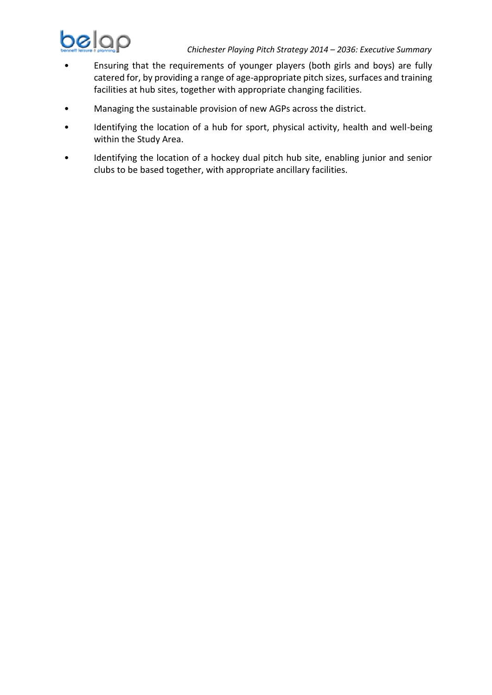

- Ensuring that the requirements of younger players (both girls and boys) are fully catered for, by providing a range of age-appropriate pitch sizes, surfaces and training facilities at hub sites, together with appropriate changing facilities.
- Managing the sustainable provision of new AGPs across the district.
- Identifying the location of a hub for sport, physical activity, health and well-being within the Study Area.
- Identifying the location of a hockey dual pitch hub site, enabling junior and senior clubs to be based together, with appropriate ancillary facilities.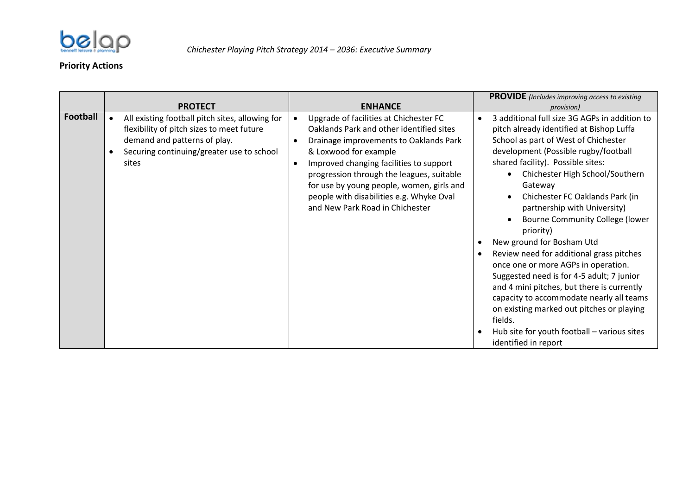

## **Priority Actions**

|                 |                                                                                                                                                                                                                   |                                                                                                                                                                                                                                                                                                                                                                                                                       | <b>PROVIDE</b> (Includes improving access to existing                                                                                                                                                                                                                                                                                                                                                                                                                                                                                                                                                                                                                                                                                                                                            |
|-----------------|-------------------------------------------------------------------------------------------------------------------------------------------------------------------------------------------------------------------|-----------------------------------------------------------------------------------------------------------------------------------------------------------------------------------------------------------------------------------------------------------------------------------------------------------------------------------------------------------------------------------------------------------------------|--------------------------------------------------------------------------------------------------------------------------------------------------------------------------------------------------------------------------------------------------------------------------------------------------------------------------------------------------------------------------------------------------------------------------------------------------------------------------------------------------------------------------------------------------------------------------------------------------------------------------------------------------------------------------------------------------------------------------------------------------------------------------------------------------|
| <b>Football</b> | <b>PROTECT</b><br>All existing football pitch sites, allowing for<br>flexibility of pitch sizes to meet future<br>demand and patterns of play.<br>Securing continuing/greater use to school<br>$\bullet$<br>sites | <b>ENHANCE</b><br>Upgrade of facilities at Chichester FC<br>Oaklands Park and other identified sites<br>Drainage improvements to Oaklands Park<br>$\bullet$<br>& Loxwood for example<br>Improved changing facilities to support<br>$\bullet$<br>progression through the leagues, suitable<br>for use by young people, women, girls and<br>people with disabilities e.g. Whyke Oval<br>and New Park Road in Chichester | provision)<br>3 additional full size 3G AGPs in addition to<br>pitch already identified at Bishop Luffa<br>School as part of West of Chichester<br>development (Possible rugby/football<br>shared facility). Possible sites:<br>Chichester High School/Southern<br>Gateway<br>Chichester FC Oaklands Park (in<br>partnership with University)<br>Bourne Community College (lower<br>$\bullet$<br>priority)<br>New ground for Bosham Utd<br>Review need for additional grass pitches<br>once one or more AGPs in operation.<br>Suggested need is for 4-5 adult; 7 junior<br>and 4 mini pitches, but there is currently<br>capacity to accommodate nearly all teams<br>on existing marked out pitches or playing<br>fields.<br>Hub site for youth football - various sites<br>identified in report |